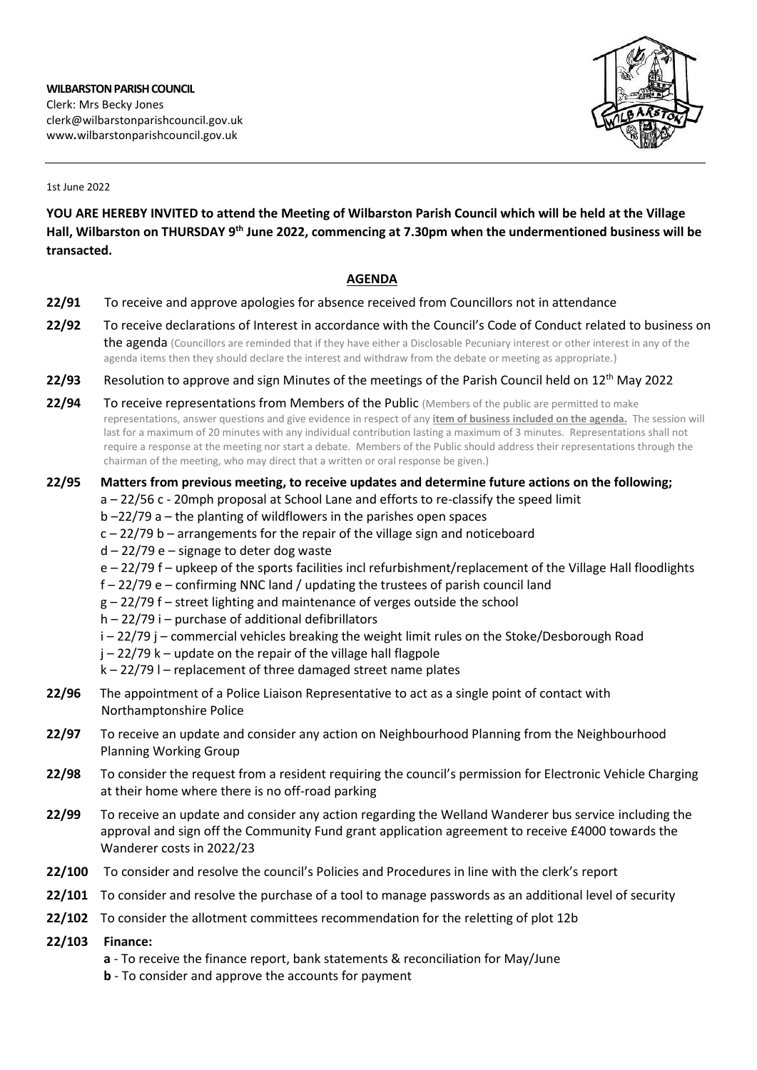

1st June 2022

**YOU ARE HEREBY INVITED to attend the Meeting of Wilbarston Parish Council which will be held at the Village Hall, Wilbarston on THURSDAY 9 th June 2022, commencing at 7.30pm when the undermentioned business will be transacted.** 

## **AGENDA**

- **22/91** To receive and approve apologies for absence received from Councillors not in attendance
- **22/92** To receive declarations of Interest in accordance with the Council's Code of Conduct related to business on the agenda (Councillors are reminded that if they have either a Disclosable Pecuniary interest or other interest in any of the agenda items then they should declare the interest and withdraw from the debate or meeting as appropriate.)
- 22/93 Resolution to approve and sign Minutes of the meetings of the Parish Council held on 12<sup>th</sup> May 2022
- **22/94** To receive representations from Members of the Public (Members of the public are permitted to make representations, answer questions and give evidence in respect of any **item of business included on the agenda.** The session will last for a maximum of 20 minutes with any individual contribution lasting a maximum of 3 minutes. Representations shall not require a response at the meeting nor start a debate. Members of the Public should address their representations through the chairman of the meeting, who may direct that a written or oral response be given.)

## **22/95 Matters from previous meeting, to receive updates and determine future actions on the following;**

- a 22/56 c 20mph proposal at School Lane and efforts to re-classify the speed limit
- b –22/79 a the planting of wildflowers in the parishes open spaces
- c 22/79 b arrangements for the repair of the village sign and noticeboard
- d 22/79 e signage to deter dog waste
- e 22/79 f upkeep of the sports facilities incl refurbishment/replacement of the Village Hall floodlights
- f 22/79 e confirming NNC land / updating the trustees of parish council land
- g 22/79 f street lighting and maintenance of verges outside the school
- h 22/79 i purchase of additional defibrillators
- i 22/79 j commercial vehicles breaking the weight limit rules on the Stoke/Desborough Road
- j 22/79 k update on the repair of the village hall flagpole
- $k 22/79$  l replacement of three damaged street name plates
- **22/96** The appointment of a Police Liaison Representative to act as a single point of contact with Northamptonshire Police
- **22/97** To receive an update and consider any action on Neighbourhood Planning from the Neighbourhood Planning Working Group
- **22/98** To consider the request from a resident requiring the council's permission for Electronic Vehicle Charging at their home where there is no off-road parking
- **22/99** To receive an update and consider any action regarding the Welland Wanderer bus service including the approval and sign off the Community Fund grant application agreement to receive £4000 towards the Wanderer costs in 2022/23
- **22/100** To consider and resolve the council's Policies and Procedures in line with the clerk's report
- **22/101** To consider and resolve the purchase of a tool to manage passwords as an additional level of security
- **22/102** To consider the allotment committees recommendation for the reletting of plot 12b
- **22/103 Finance:**
	- **a** To receive the finance report, bank statements & reconciliation for May/June
	- **b** To consider and approve the accounts for payment